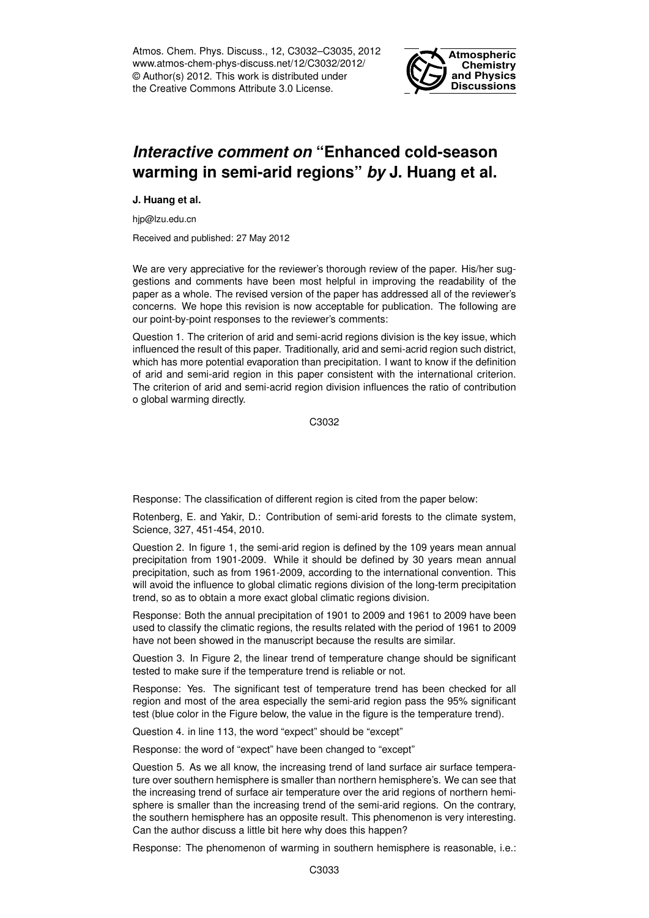Atmos. Chem. Phys. Discuss., 12, C3032–C3035, 2012 www.atmos-chem-phys-discuss.net/12/C3032/2012/ © Author(s) 2012. This work is distributed under the Creative Commons Attribute 3.0 License.



## *Interactive comment on* **"Enhanced cold-season warming in semi-arid regions"** *by* **J. Huang et al.**

**J. Huang et al.**

hjp@lzu.edu.cn

Received and published: 27 May 2012

We are very appreciative for the reviewer's thorough review of the paper. His/her suggestions and comments have been most helpful in improving the readability of the paper as a whole. The revised version of the paper has addressed all of the reviewer's concerns. We hope this revision is now acceptable for publication. The following are our point-by-point responses to the reviewer's comments:

Question 1. The criterion of arid and semi-acrid regions division is the key issue, which influenced the result of this paper. Traditionally, arid and semi-acrid region such district, which has more potential evaporation than precipitation. I want to know if the definition of arid and semi-arid region in this paper consistent with the international criterion. The criterion of arid and semi-acrid region division influences the ratio of contribution o global warming directly.

C3032

Response: The classification of different region is cited from the paper below:

Rotenberg, E. and Yakir, D.: Contribution of semi-arid forests to the climate system, Science, 327, 451-454, 2010.

Question 2. In figure 1, the semi-arid region is defined by the 109 years mean annual precipitation from 1901-2009. While it should be defined by 30 years mean annual precipitation, such as from 1961-2009, according to the international convention. This will avoid the influence to global climatic regions division of the long-term precipitation trend, so as to obtain a more exact global climatic regions division.

Response: Both the annual precipitation of 1901 to 2009 and 1961 to 2009 have been used to classify the climatic regions, the results related with the period of 1961 to 2009 have not been showed in the manuscript because the results are similar.

Question 3. In Figure 2, the linear trend of temperature change should be significant tested to make sure if the temperature trend is reliable or not.

Response: Yes. The significant test of temperature trend has been checked for all region and most of the area especially the semi-arid region pass the 95% significant test (blue color in the Figure below, the value in the figure is the temperature trend).

Question 4. in line 113, the word "expect" should be "except"

Response: the word of "expect" have been changed to "except"

Question 5. As we all know, the increasing trend of land surface air surface temperature over southern hemisphere is smaller than northern hemisphere's. We can see that the increasing trend of surface air temperature over the arid regions of northern hemisphere is smaller than the increasing trend of the semi-arid regions. On the contrary, the southern hemisphere has an opposite result. This phenomenon is very interesting. Can the author discuss a little bit here why does this happen?

Response: The phenomenon of warming in southern hemisphere is reasonable, i.e.: